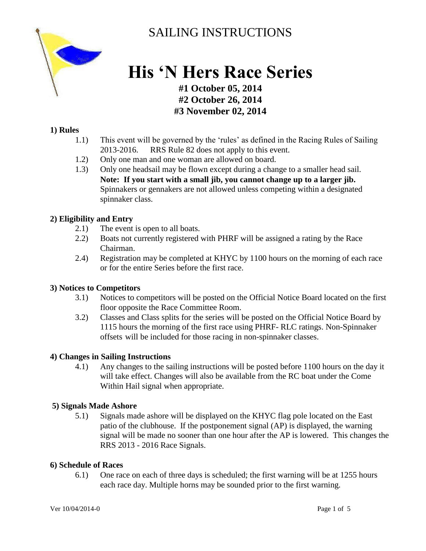

# SAILING INSTRUCTIONS

# **His 'N Hers Race Series**

## **#1 October 05, 2014 #2 October 26, 2014 #3 November 02, 2014**

#### **1) Rules**

- 1.1) This event will be governed by the 'rules' as defined in the Racing Rules of Sailing 2013-2016. RRS Rule 82 does not apply to this event.
- 1.2) Only one man and one woman are allowed on board.
- 1.3) Only one headsail may be flown except during a change to a smaller head sail. **Note: If you start with a small jib, you cannot change up to a larger jib.**  Spinnakers or gennakers are not allowed unless competing within a designated spinnaker class.

#### **2) Eligibility and Entry**

- 2.1) The event is open to all boats.
- 2.2) Boats not currently registered with PHRF will be assigned a rating by the Race Chairman.
- 2.4) Registration may be completed at KHYC by 1100 hours on the morning of each race or for the entire Series before the first race.

#### **3) Notices to Competitors**

- 3.1) Notices to competitors will be posted on the Official Notice Board located on the first floor opposite the Race Committee Room.
- 3.2) Classes and Class splits for the series will be posted on the Official Notice Board by 1115 hours the morning of the first race using PHRF- RLC ratings. Non-Spinnaker offsets will be included for those racing in non-spinnaker classes.

#### **4) Changes in Sailing Instructions**

4.1) Any changes to the sailing instructions will be posted before 1100 hours on the day it will take effect. Changes will also be available from the RC boat under the Come Within Hail signal when appropriate.

#### **5) Signals Made Ashore**

5.1) Signals made ashore will be displayed on the KHYC flag pole located on the East patio of the clubhouse. If the postponement signal (AP) is displayed, the warning signal will be made no sooner than one hour after the AP is lowered. This changes the RRS 2013 - 2016 Race Signals.

#### **6) Schedule of Races**

6.1) One race on each of three days is scheduled; the first warning will be at 1255 hours each race day. Multiple horns may be sounded prior to the first warning.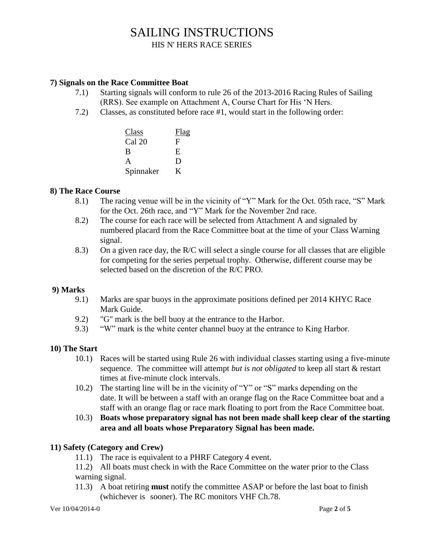# SAILING INSTRUCTIONS

HIS N' HERS RACE SERIES

#### **7) Signals on the Race Committee Boat**

- 7.1) Starting signals will conform to rule 26 of the 2013-2016 Racing Rules of Sailing (RRS). See example on Attachment A, Course Chart for His 'N Hers.
- 7.2) Classes, as constituted before race #1, would start in the following order:

| Class             | Flag |
|-------------------|------|
| Cal <sub>20</sub> | F    |
| B                 | E,   |
| A                 | D    |
| Spinnaker         | K    |

#### **8) The Race Course**

- 8.1) The racing venue will be in the vicinity of "Y" Mark for the Oct. 05th race, "S" Mark for the Oct. 26th race, and "Y" Mark for the November 2nd race.
- 8.2) The course for each race will be selected from Attachment A and signaled by numbered placard from the Race Committee boat at the time of your Class Warning signal.
- 8.3) On a given race day, the R/C will select a single course for all classes that are eligible for competing for the series perpetual trophy. Otherwise, different course may be selected based on the discretion of the R/C PRO.

#### **9) Marks**

- 9.1) Marks are spar buoys in the approximate positions defined per 2014 KHYC Race Mark Guide.
- 9.2) "G" mark is the bell buoy at the entrance to the Harbor.
- 9.3) "W" mark is the white center channel buoy at the entrance to King Harbor.

#### **10) The Start**

- 10.1) Races will be started using Rule 26 with individual classes starting using a five-minute sequence. The committee will attempt *but is not obligated* to keep all start & restart times at five-minute clock intervals.
- 10.2) The starting line will be in the vicinity of "Y" or "S" marks depending on the date. It will be between a staff with an orange flag on the Race Committee boat and a staff with an orange flag or race mark floating to port from the Race Committee boat.
- 10.3) **Boats whose preparatory signal has not been made shall keep clear of the starting area and all boats whose Preparatory Signal has been made.**

#### **11) Safety (Category and Crew)**

- 11.1) The race is equivalent to a PHRF Category 4 event.
- 11.2) All boats must check in with the Race Committee on the water prior to the Class warning signal.
- 11.3) A boat retiring **must** notify the committee ASAP or before the last boat to finish (whichever is sooner). The RC monitors VHF Ch.78.

Ver 10/04/2014-0 Page **2** of **5**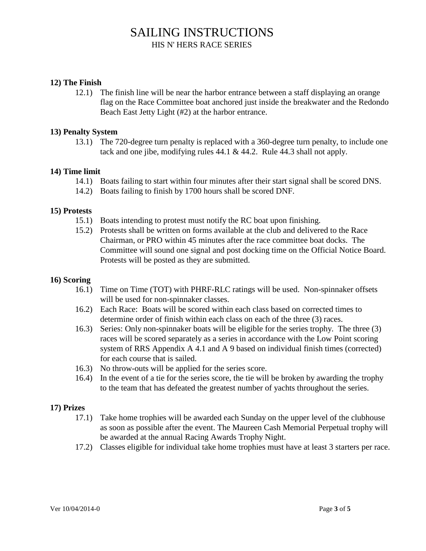# SAILING INSTRUCTIONS HIS N' HERS RACE SERIES

#### **12) The Finish**

12.1) The finish line will be near the harbor entrance between a staff displaying an orange flag on the Race Committee boat anchored just inside the breakwater and the Redondo Beach East Jetty Light (#2) at the harbor entrance.

#### **13) Penalty System**

13.1) The 720-degree turn penalty is replaced with a 360-degree turn penalty, to include one tack and one jibe, modifying rules 44.1 & 44.2. Rule 44.3 shall not apply.

#### **14) Time limit**

- 14.1) Boats failing to start within four minutes after their start signal shall be scored DNS.
- 14.2) Boats failing to finish by 1700 hours shall be scored DNF.

#### **15) Protests**

- 15.1) Boats intending to protest must notify the RC boat upon finishing.
- 15.2) Protests shall be written on forms available at the club and delivered to the Race Chairman, or PRO within 45 minutes after the race committee boat docks. The Committee will sound one signal and post docking time on the Official Notice Board. Protests will be posted as they are submitted.

#### **16) Scoring**

- 16.1) Time on Time (TOT) with PHRF-RLC ratings will be used. Non-spinnaker offsets will be used for non-spinnaker classes.
- 16.2) Each Race: Boats will be scored within each class based on corrected times to determine order of finish within each class on each of the three (3) races.
- 16.3) Series: Only non-spinnaker boats will be eligible for the series trophy. The three (3) races will be scored separately as a series in accordance with the Low Point scoring system of RRS Appendix A 4.1 and A 9 based on individual finish times (corrected) for each course that is sailed.
- 16.3) No throw-outs will be applied for the series score.
- 16.4) In the event of a tie for the series score, the tie will be broken by awarding the trophy to the team that has defeated the greatest number of yachts throughout the series.

#### **17) Prizes**

- 17.1) Take home trophies will be awarded each Sunday on the upper level of the clubhouse as soon as possible after the event. The Maureen Cash Memorial Perpetual trophy will be awarded at the annual Racing Awards Trophy Night.
- 17.2) Classes eligible for individual take home trophies must have at least 3 starters per race.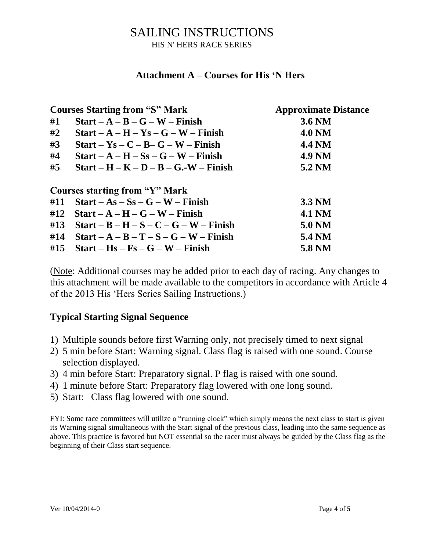# SAILING INSTRUCTIONS HIS N' HERS RACE SERIES

### **Attachment A – Courses for His 'N Hers**

| <b>Courses Starting from "S" Mark</b> |                                          | <b>Approximate Distance</b> |  |  |
|---------------------------------------|------------------------------------------|-----------------------------|--|--|
| #1                                    | $Start - A - B - G - W - Finish$         | 3.6 NM                      |  |  |
| #2                                    | $Start - A - H - Ys - G - W - Finish$    | <b>4.0 NM</b>               |  |  |
| #3                                    | $Start - Ys - C - B - G - W - Finish$    | <b>4.4 NM</b>               |  |  |
| #4                                    | $Start - A - H - Ss - G - W - Finish$    | <b>4.9 NM</b>               |  |  |
| #5                                    | $Start - H - K - D - B - G.-W - Finish$  | 5.2 NM                      |  |  |
| <b>Courses starting from "Y" Mark</b> |                                          |                             |  |  |
| #11                                   | $Start - As - Ss - G - W - Finish$       | 3.3 NM                      |  |  |
| #12                                   | $Start - A - H - G - W - Finish$         | <b>4.1 NM</b>               |  |  |
| #13                                   | $Start - B - H - S - C - G - W - Finish$ | 5.0 NM                      |  |  |
| #14                                   | $Start - A - B - T - S - G - W - Finish$ | 5.4 NM                      |  |  |
| #15                                   | $Start - Hs - Fs - G - W - Finish$       | 5.8 NM                      |  |  |

(Note: Additional courses may be added prior to each day of racing. Any changes to this attachment will be made available to the competitors in accordance with Article 4 of the 2013 His 'Hers Series Sailing Instructions.)

# **Typical Starting Signal Sequence**

- 1) Multiple sounds before first Warning only, not precisely timed to next signal
- 2) 5 min before Start: Warning signal. Class flag is raised with one sound. Course selection displayed.
- 3) 4 min before Start: Preparatory signal. P flag is raised with one sound.
- 4) 1 minute before Start: Preparatory flag lowered with one long sound.
- 5) Start: Class flag lowered with one sound.

FYI: Some race committees will utilize a "running clock" which simply means the next class to start is given its Warning signal simultaneous with the Start signal of the previous class, leading into the same sequence as above. This practice is favored but NOT essential so the racer must always be guided by the Class flag as the beginning of their Class start sequence.